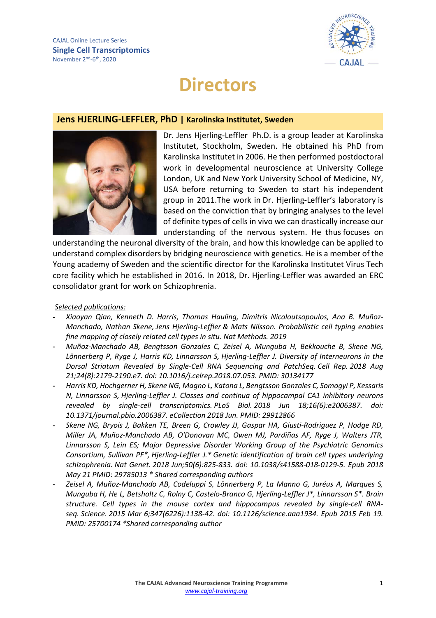

# **Directors**

### **Jens HJERLING-LEFFLER, PhD | Karolinska Institutet, Sweden**



Dr. Jens Hjerling-Leffler Ph.D. is a group leader at Karolinska Institutet, Stockholm, Sweden. He obtained his PhD from Karolinska Institutet in 2006. He then performed postdoctoral work in developmental neuroscience at University College London, UK and New York University School of Medicine, NY, USA before returning to Sweden to start his independent group in 2011.The work in Dr. Hjerling-Leffler's laboratory is based on the conviction that by bringing analyses to the level of definite types of cells in vivo we can drastically increase our understanding of the nervous system. He thus focuses on

understanding the neuronal diversity of the brain, and how this knowledge can be applied to understand complex disorders by bridging neuroscience with genetics. He is a member of the Young academy of Sweden and the scientific director for the Karolinska Institutet Virus Tech core facility which he established in 2016. In 2018, Dr. Hjerling-Leffler was awarded an ERC consolidator grant for work on Schizophrenia.

#### *Selected publications:*

- **-** *Xiaoyan Qian, Kenneth D. Harris, Thomas Hauling, Dimitris Nicoloutsopoulos, Ana B. Muñoz-Manchado, Nathan Skene, Jens Hjerling-Leffler & Mats Nilsson. Probabilistic cell typing enables fine mapping of closely related cell types in situ. Nat Methods. 2019*
- **-** *Muñoz-Manchado AB, Bengtsson Gonzales C, Zeisel A, Munguba H, Bekkouche B, Skene NG, Lönnerberg P, Ryge J, Harris KD, Linnarsson S, Hjerling-Leffler J. Diversity of Interneurons in the Dorsal Striatum Revealed by Single-Cell RNA Sequencing and PatchSeq. Cell Rep. 2018 Aug 21;24(8):2179-2190.e7. doi: 10.1016/j.celrep.2018.07.053. PMID: 30134177*
- **-** *Harris KD, Hochgerner H, Skene NG, Magno L, Katona L, Bengtsson Gonzales C, Somogyi P, Kessaris N, Linnarsson S, Hjerling-Leffler J. Classes and continua of hippocampal CA1 inhibitory neurons revealed by single-cell transcriptomics. PLoS Biol. 2018 Jun 18;16(6):e2006387. doi: 10.1371/journal.pbio.2006387. eCollection 2018 Jun. PMID: 29912866*
- **-** *Skene NG, Bryois J, Bakken TE, Breen G, Crowley JJ, Gaspar HA, Giusti-Rodriguez P, Hodge RD, Miller JA, Muñoz-Manchado AB, O'Donovan MC, Owen MJ, Pardiñas AF, Ryge J, Walters JTR, Linnarsson S, Lein ES; Major Depressive Disorder Working Group of the Psychiatric Genomics Consortium, Sullivan PF\*, Hjerling-Leffler J.\* Genetic identification of brain cell types underlying schizophrenia. Nat Genet. 2018 Jun;50(6):825-833. doi: 10.1038/s41588-018-0129-5. Epub 2018 May 21 PMID: 29785013 \* Shared corresponding authors*
- **-** *Zeisel A, Muñoz-Manchado AB, Codeluppi S, Lönnerberg P, La Manno G, Juréus A, Marques S, Munguba H, He L, Betsholtz C, Rolny C, Castelo-Branco G, Hjerling-Leffler J\*, Linnarsson S\*. Brain structure. Cell types in the mouse cortex and hippocampus revealed by single-cell RNAseq. Science. 2015 Mar 6;347(6226):1138-42. doi: 10.1126/science.aaa1934. Epub 2015 Feb 19. PMID: 25700174 \*Shared corresponding author*